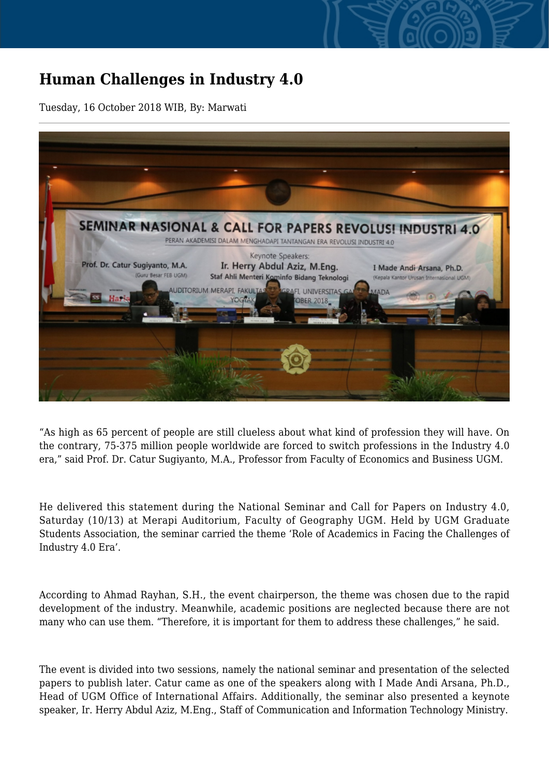## **Human Challenges in Industry 4.0**

Tuesday, 16 October 2018 WIB, By: Marwati



"As high as 65 percent of people are still clueless about what kind of profession they will have. On the contrary, 75-375 million people worldwide are forced to switch professions in the Industry 4.0 era," said Prof. Dr. Catur Sugiyanto, M.A., Professor from Faculty of Economics and Business UGM.

He delivered this statement during the National Seminar and Call for Papers on Industry 4.0, Saturday (10/13) at Merapi Auditorium, Faculty of Geography UGM. Held by UGM Graduate Students Association, the seminar carried the theme 'Role of Academics in Facing the Challenges of Industry 4.0 Era'.

According to Ahmad Rayhan, S.H., the event chairperson, the theme was chosen due to the rapid development of the industry. Meanwhile, academic positions are neglected because there are not many who can use them. "Therefore, it is important for them to address these challenges," he said.

The event is divided into two sessions, namely the national seminar and presentation of the selected papers to publish later. Catur came as one of the speakers along with I Made Andi Arsana, Ph.D., Head of UGM Office of International Affairs. Additionally, the seminar also presented a keynote speaker, Ir. Herry Abdul Aziz, M.Eng., Staff of Communication and Information Technology Ministry.